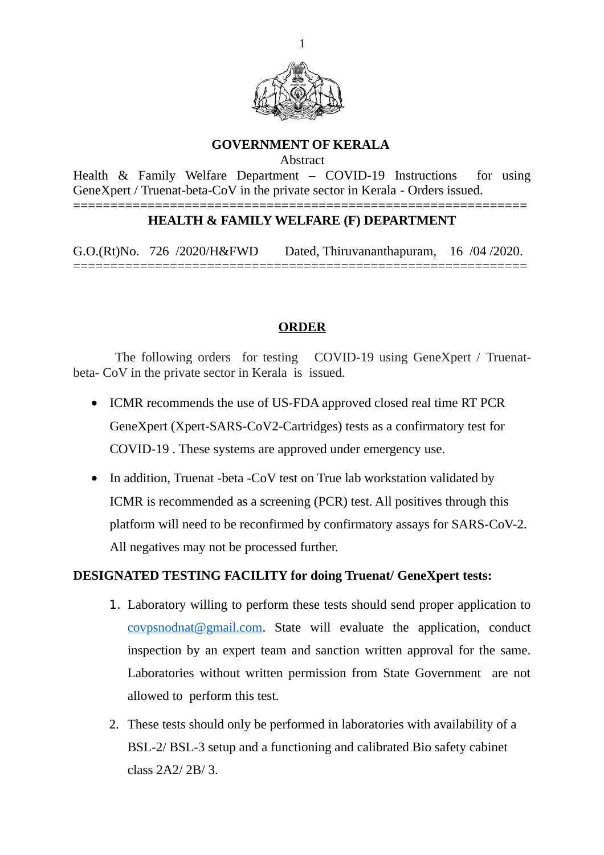

#### **GOVERNMENT OF KERALA**

Abstract

Health & Family Welfare Department – COVID-19 Instructions for using GeneXpert / Truenat-beta-CoV in the private sector in Kerala - Orders issued. =============================================================

### **HEALTH & FAMILY WELFARE (F) DEPARTMENT**

G.O.(Rt)No. 726 /2020/H&FWD Dated, Thiruvananthapuram, 16 /04 /2020. =============================================================

### **ORDER**

The following orders for testing COVID-19 using GeneXpert / Truenatbeta- CoV in the private sector in Kerala is issued.

- ICMR recommends the use of US-FDA approved closed real time RT PCR GeneXpert (Xpert-SARS-CoV2-Cartridges) tests as a confirmatory test for COVID-19 . These systems are approved under emergency use.
- In addition, Truenat -beta -CoV test on True lab workstation validated by ICMR is recommended as a screening (PCR) test. All positives through this platform will need to be reconfirmed by confirmatory assays for SARS-CoV-2. All negatives may not be processed further.

# **DESIGNATED TESTING FACILITY for doing Truenat/ GeneXpert tests:**

- 1. Laboratory willing to perform these tests should send proper application to [covpsnodnat@gmail.com.](mailto:covpsnodnat@gmail.com) State will evaluate the application, conduct inspection by an expert team and sanction written approval for the same. Laboratories without written permission from State Government are not allowed to perform this test.
- 2. These tests should only be performed in laboratories with availability of a BSL-2/ BSL-3 setup and a functioning and calibrated Bio safety cabinet class 2A2/ 2B/ 3.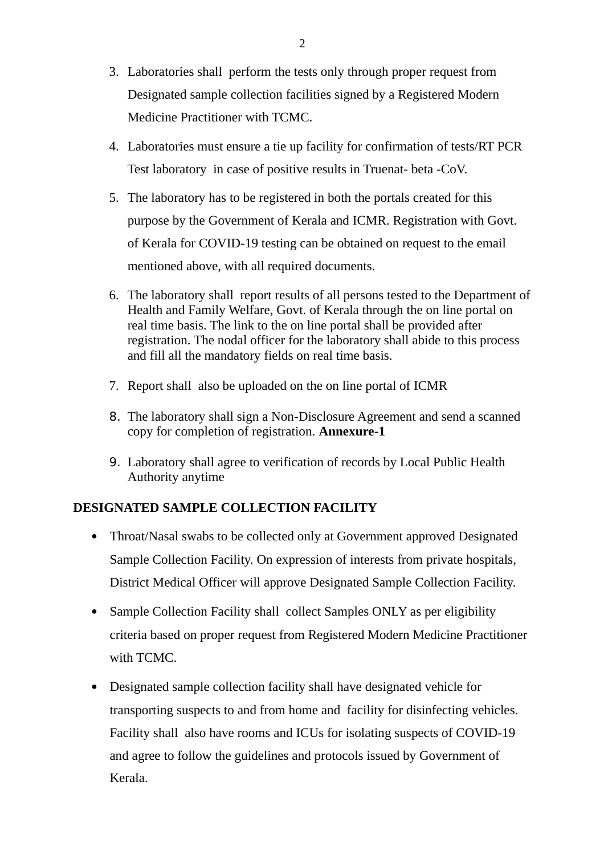- 3. Laboratories shall perform the tests only through proper request from Designated sample collection facilities signed by a Registered Modern Medicine Practitioner with TCMC.
- 4. Laboratories must ensure a tie up facility for confirmation of tests/RT PCR Test laboratory in case of positive results in Truenat- beta -CoV.
- 5. The laboratory has to be registered in both the portals created for this purpose by the Government of Kerala and ICMR. Registration with Govt. of Kerala for COVID-19 testing can be obtained on request to the email mentioned above, with all required documents.
- 6. The laboratory shall report results of all persons tested to the Department of Health and Family Welfare, Govt. of Kerala through the on line portal on real time basis. The link to the on line portal shall be provided after registration. The nodal officer for the laboratory shall abide to this process and fill all the mandatory fields on real time basis.
- 7. Report shall also be uploaded on the on line portal of ICMR
- 8. The laboratory shall sign a Non-Disclosure Agreement and send a scanned copy for completion of registration. **Annexure-1**
- 9. Laboratory shall agree to verification of records by Local Public Health Authority anytime

# **DESIGNATED SAMPLE COLLECTION FACILITY**

- Throat/Nasal swabs to be collected only at Government approved Designated Sample Collection Facility. On expression of interests from private hospitals, District Medical Officer will approve Designated Sample Collection Facility.
- Sample Collection Facility shall collect Samples ONLY as per eligibility criteria based on proper request from Registered Modern Medicine Practitioner with TCMC.
- Designated sample collection facility shall have designated vehicle for transporting suspects to and from home and facility for disinfecting vehicles. Facility shall also have rooms and ICUs for isolating suspects of COVID-19 and agree to follow the guidelines and protocols issued by Government of Kerala.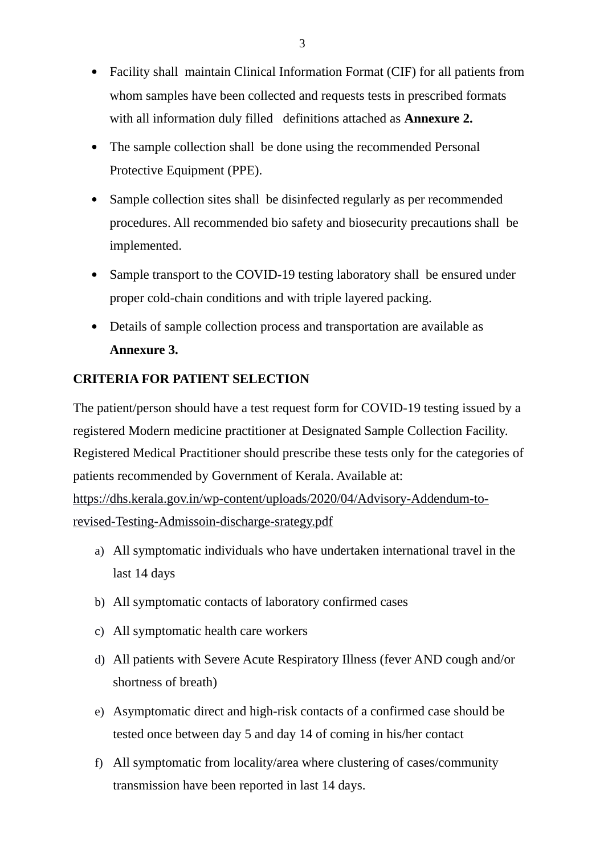- Facility shall maintain Clinical Information Format (CIF) for all patients from whom samples have been collected and requests tests in prescribed formats with all information duly filled definitions attached as **Annexure 2.**
- The sample collection shall be done using the recommended Personal Protective Equipment (PPE).
- Sample collection sites shall be disinfected regularly as per recommended procedures. All recommended bio safety and biosecurity precautions shall be implemented.
- Sample transport to the COVID-19 testing laboratory shall be ensured under proper cold-chain conditions and with triple layered packing.
- Details of sample collection process and transportation are available as **Annexure 3.**

# **CRITERIA FOR PATIENT SELECTION**

The patient/person should have a test request form for COVID-19 testing issued by a registered Modern medicine practitioner at Designated Sample Collection Facility. Registered Medical Practitioner should prescribe these tests only for the categories of patients recommended by Government of Kerala. Available at: [https://dhs.kerala.gov.in/wp-content/uploads/2020/04/Advisory-Addendum-to](https://dhs.kerala.gov.in/wp-content/uploads/2020/04/Advisory-Addendum-to-revised-Testing-Admissoin-discharge-srategy.pdf)[revised-Testing-Admissoin-discharge-srategy.pdf](https://dhs.kerala.gov.in/wp-content/uploads/2020/04/Advisory-Addendum-to-revised-Testing-Admissoin-discharge-srategy.pdf)

- a) All symptomatic individuals who have undertaken international travel in the last 14 days
- b) All symptomatic contacts of laboratory confirmed cases
- c) All symptomatic health care workers
- d) All patients with Severe Acute Respiratory Illness (fever AND cough and/or shortness of breath)
- e) Asymptomatic direct and high-risk contacts of a confirmed case should be tested once between day 5 and day 14 of coming in his/her contact
- f) All symptomatic from locality/area where clustering of cases/community transmission have been reported in last 14 days.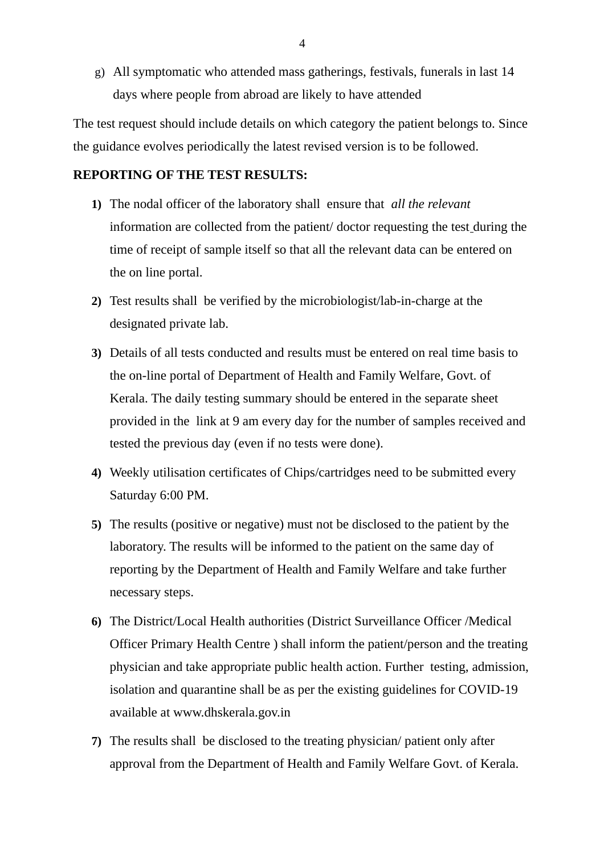g) All symptomatic who attended mass gatherings, festivals, funerals in last 14 days where people from abroad are likely to have attended

The test request should include details on which category the patient belongs to. Since the guidance evolves periodically the latest revised version is to be followed.

### **REPORTING OF THE TEST RESULTS:**

- **1)** The nodal officer of the laboratory shall ensure that *all the relevant*  information are collected from the patient/ doctor requesting the test during the time of receipt of sample itself so that all the relevant data can be entered on the on line portal.
- **2)** Test results shall be verified by the microbiologist/lab-in-charge at the designated private lab.
- **3)** Details of all tests conducted and results must be entered on real time basis to the on-line portal of Department of Health and Family Welfare, Govt. of Kerala. The daily testing summary should be entered in the separate sheet provided in the link at 9 am every day for the number of samples received and tested the previous day (even if no tests were done).
- **4)** Weekly utilisation certificates of Chips/cartridges need to be submitted every Saturday 6:00 PM.
- **5)** The results (positive or negative) must not be disclosed to the patient by the laboratory. The results will be informed to the patient on the same day of reporting by the Department of Health and Family Welfare and take further necessary steps.
- **6)** The District/Local Health authorities (District Surveillance Officer /Medical Officer Primary Health Centre ) shall inform the patient/person and the treating physician and take appropriate public health action. Further testing, admission, isolation and quarantine shall be as per the existing guidelines for COVID-19 available at www.dhskerala.gov.in
- **7)** The results shall be disclosed to the treating physician/ patient only after approval from the Department of Health and Family Welfare Govt. of Kerala.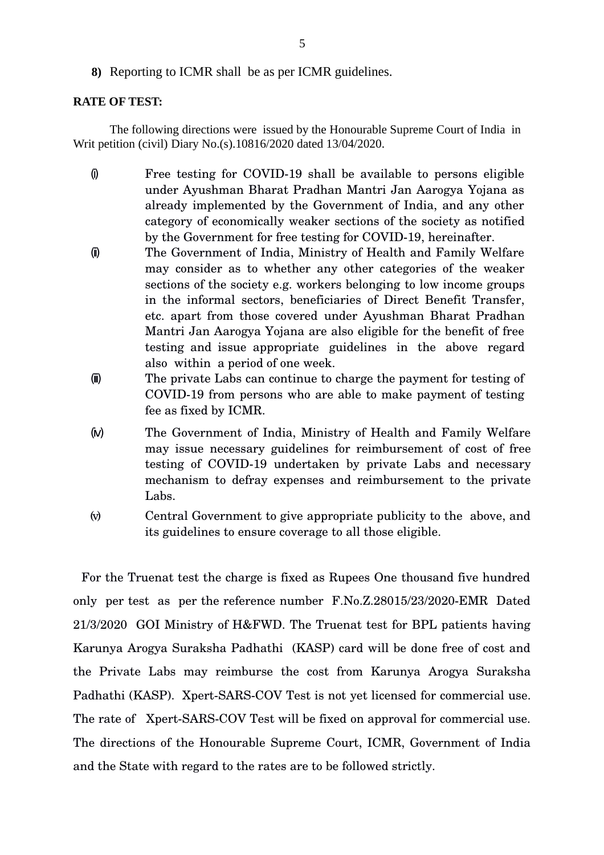**8)** Reporting to ICMR shall be as per ICMR guidelines.

#### **RATE OF TEST:**

The following directions were issued by the Honourable Supreme Court of India in Writ petition (civil) Diary No.(s).10816/2020 dated 13/04/2020.

- (i) Free testing for COVID19 shall be available to persons eligible under Ayushman Bharat Pradhan Mantri Jan Aarogya Yojana as already implemented by the Government of India, and any other category of economically weaker sections of the society as notified by the Government for free testing for COVID-19, hereinafter.
- (ii) The Government of India, Ministry of Health and Family Welfare may consider as to whether any other categories of the weaker sections of the society e.g. workers belonging to low income groups in the informal sectors, beneficiaries of Direct Benefit Transfer, etc. apart from those covered under Ayushman Bharat Pradhan Mantri Jan Aarogya Yojana are also eligible for the benefit of free testing and issue appropriate guidelines in the above regard also within a period of one week.
- (iii) The private Labs can continue to charge the payment for testing of COVID-19 from persons who are able to make payment of testing fee as fixed by ICMR.
- (iv) The Government of India, Ministry of Health and Family Welfare may issue necessary guidelines for reimbursement of cost of free testing of COVID-19 undertaken by private Labs and necessary mechanism to defray expenses and reimbursement to the private Labs.
- (v) Central Government to give appropriate publicity to the above, and its guidelines to ensure coverage to all those eligible.

 For the Truenat test the charge is fixed as Rupees One thousand five hundred only per test as per the reference number  $F.No.Z.28015/23/2020-EMR$  Dated 21/3/2020 GOI Ministry of H&FWD. The Truenat test for BPL patients having Karunya Arogya Suraksha Padhathi (KASP) card will be done free of cost and the Private Labs may reimburse the cost from Karunya Arogya Suraksha Padhathi (KASP). Xpert-SARS-COV Test is not yet licensed for commercial use. The rate of Xpert-SARS-COV Test will be fixed on approval for commercial use. The directions of the Honourable Supreme Court, ICMR, Government of India and the State with regard to the rates are to be followed strictly.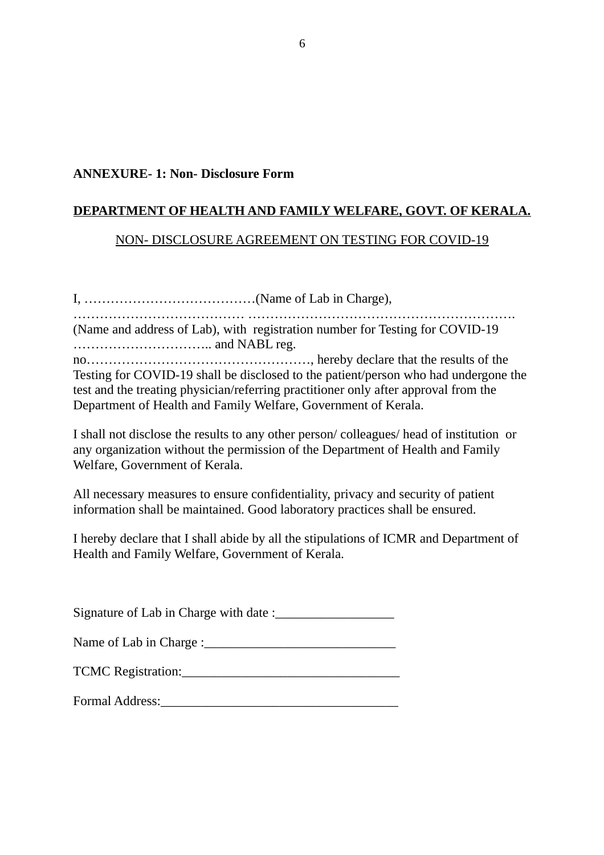### **ANNEXURE- 1: Non- Disclosure Form**

# **DEPARTMENT OF HEALTH AND FAMILY WELFARE, GOVT. OF KERALA.**

# NON- DISCLOSURE AGREEMENT ON TESTING FOR COVID-19

I, …………………………………(Name of Lab in Charge), ………………………………… ……………………………………………………. (Name and address of Lab), with registration number for Testing for COVID-19 ………………………….. and NABL reg. no……………………………………………, hereby declare that the results of the Testing for COVID-19 shall be disclosed to the patient/person who had undergone the test and the treating physician/referring practitioner only after approval from the Department of Health and Family Welfare, Government of Kerala.

I shall not disclose the results to any other person/ colleagues/ head of institution or any organization without the permission of the Department of Health and Family Welfare, Government of Kerala.

All necessary measures to ensure confidentiality, privacy and security of patient information shall be maintained. Good laboratory practices shall be ensured.

I hereby declare that I shall abide by all the stipulations of ICMR and Department of Health and Family Welfare, Government of Kerala.

Signature of Lab in Charge with date :\_\_\_\_\_\_\_\_\_\_\_\_\_\_\_\_\_\_

| Name of Lab in Charge : |  |
|-------------------------|--|
|                         |  |

| <b>TCMC Registration:</b> |  |
|---------------------------|--|
|                           |  |

Formal Address: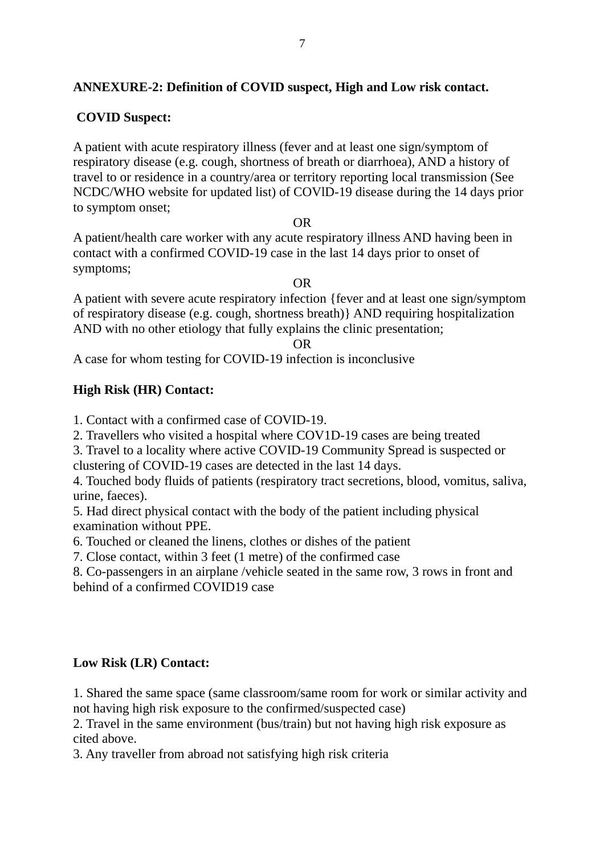# **ANNEXURE-2: Definition of COVID suspect, High and Low risk contact.**

# **COVID Suspect:**

A patient with acute respiratory illness (fever and at least one sign/symptom of respiratory disease (e.g. cough, shortness of breath or diarrhoea), AND a history of travel to or residence in a country/area or territory reporting local transmission (See NCDC/WHO website for updated list) of COVlD-19 disease during the 14 days prior to symptom onset;

#### OR

A patient/health care worker with any acute respiratory illness AND having been in contact with a confirmed COVID-19 case in the last 14 days prior to onset of symptoms;

#### OR

A patient with severe acute respiratory infection {fever and at least one sign/symptom of respiratory disease (e.g. cough, shortness breath)} AND requiring hospitalization AND with no other etiology that fully explains the clinic presentation;

OR

A case for whom testing for COVID-19 infection is inconclusive

### **High Risk (HR) Contact:**

1. Contact with a confirmed case of COVID-19.

2. Travellers who visited a hospital where COV1D-19 cases are being treated

3. Travel to a locality where active COVID-19 Community Spread is suspected or clustering of COVID-19 cases are detected in the last 14 days.

4. Touched body fluids of patients (respiratory tract secretions, blood, vomitus, saliva, urine, faeces).

5. Had direct physical contact with the body of the patient including physical examination without PPE.

6. Touched or cleaned the linens, clothes or dishes of the patient

7. Close contact, within 3 feet (1 metre) of the confirmed case

8. Co-passengers in an airplane /vehicle seated in the same row, 3 rows in front and behind of a confirmed COVID19 case

#### **Low Risk (LR) Contact:**

1. Shared the same space (same classroom/same room for work or similar activity and not having high risk exposure to the confirmed/suspected case)

2. Travel in the same environment (bus/train) but not having high risk exposure as cited above.

3. Any traveller from abroad not satisfying high risk criteria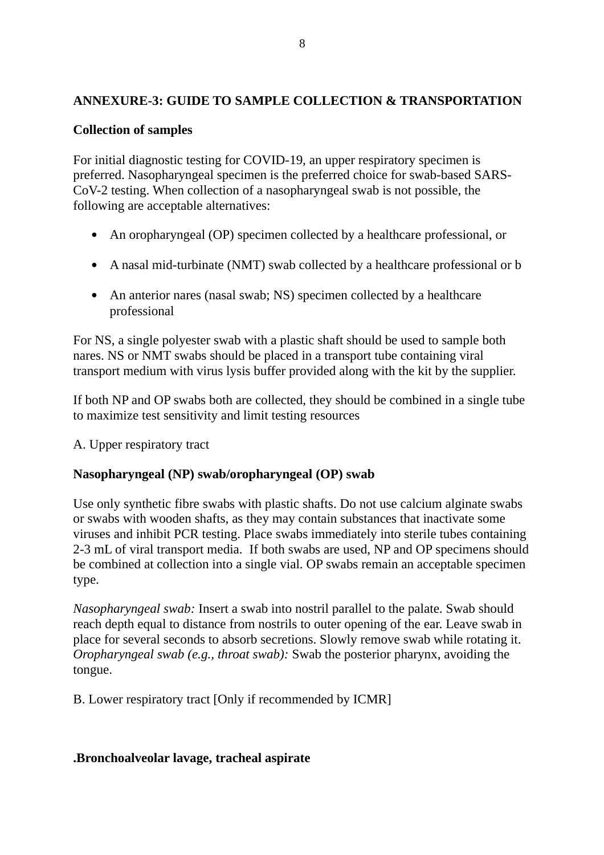# **ANNEXURE-3: GUIDE TO SAMPLE COLLECTION & TRANSPORTATION**

# **Collection of samples**

For initial diagnostic testing for COVID-19, an upper respiratory specimen is preferred. Nasopharyngeal specimen is the preferred choice for swab-based SARS-CoV-2 testing. When collection of a nasopharyngeal swab is not possible, the following are acceptable alternatives:

- An oropharyngeal (OP) specimen collected by a healthcare professional, or
- A nasal mid-turbinate (NMT) swab collected by a healthcare professional or b
- An anterior nares (nasal swab; NS) specimen collected by a healthcare professional

For NS, a single polyester swab with a plastic shaft should be used to sample both nares. NS or NMT swabs should be placed in a transport tube containing viral transport medium with virus lysis buffer provided along with the kit by the supplier.

If both NP and OP swabs both are collected, they should be combined in a single tube to maximize test sensitivity and limit testing resources

A. Upper respiratory tract

# **Nasopharyngeal (NP) swab/oropharyngeal (OP) swab**

Use only synthetic fibre swabs with plastic shafts. Do not use calcium alginate swabs or swabs with wooden shafts, as they may contain substances that inactivate some viruses and inhibit PCR testing. Place swabs immediately into sterile tubes containing 2-3 mL of viral transport media. If both swabs are used, NP and OP specimens should be combined at collection into a single vial. OP swabs remain an acceptable specimen type.

*Nasopharyngeal swab:* Insert a swab into nostril parallel to the palate. Swab should reach depth equal to distance from nostrils to outer opening of the ear. Leave swab in place for several seconds to absorb secretions. Slowly remove swab while rotating it. *Oropharyngeal swab (e.g., throat swab):* Swab the posterior pharynx, avoiding the tongue.

B. Lower respiratory tract [Only if recommended by ICMR]

# **.Bronchoalveolar lavage, tracheal aspirate**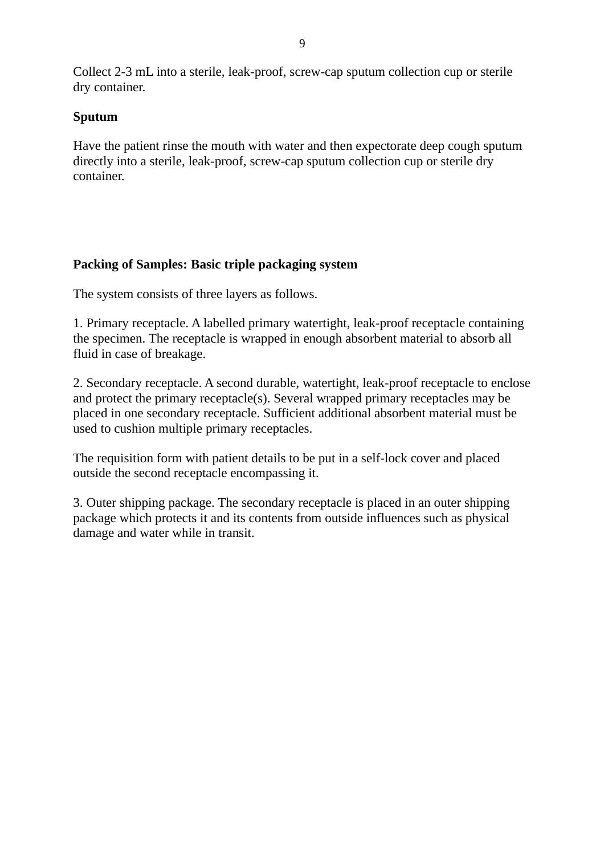Collect 2-3 mL into a sterile, leak-proof, screw-cap sputum collection cup or sterile dry container.

# **Sputum**

Have the patient rinse the mouth with water and then expectorate deep cough sputum directly into a sterile, leak-proof, screw-cap sputum collection cup or sterile dry container.

# **Packing of Samples: Basic triple packaging system**

The system consists of three layers as follows.

1. Primary receptacle. A labelled primary watertight, leak-proof receptacle containing the specimen. The receptacle is wrapped in enough absorbent material to absorb all fluid in case of breakage.

2. Secondary receptacle. A second durable, watertight, leak-proof receptacle to enclose and protect the primary receptacle(s). Several wrapped primary receptacles may be placed in one secondary receptacle. Sufficient additional absorbent material must be used to cushion multiple primary receptacles.

The requisition form with patient details to be put in a self-lock cover and placed outside the second receptacle encompassing it.

3. Outer shipping package. The secondary receptacle is placed in an outer shipping package which protects it and its contents from outside influences such as physical damage and water while in transit.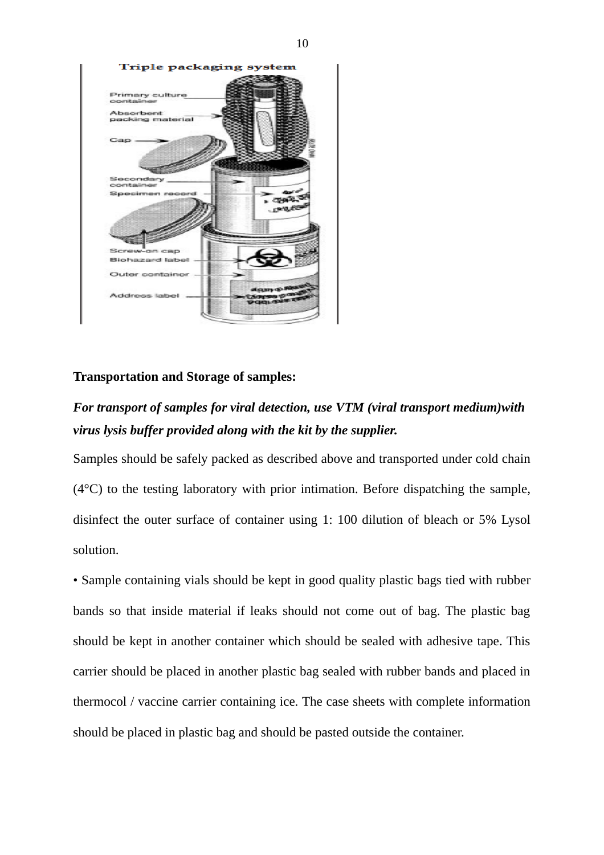

### **Transportation and Storage of samples:**

# *For transport of samples for viral detection, use VTM (viral transport medium)with virus lysis buffer provided along with the kit by the supplier.*

Samples should be safely packed as described above and transported under cold chain  $(4^{\circ}C)$  to the testing laboratory with prior intimation. Before dispatching the sample, disinfect the outer surface of container using 1: 100 dilution of bleach or 5% Lysol solution.

• Sample containing vials should be kept in good quality plastic bags tied with rubber bands so that inside material if leaks should not come out of bag. The plastic bag should be kept in another container which should be sealed with adhesive tape. This carrier should be placed in another plastic bag sealed with rubber bands and placed in thermocol / vaccine carrier containing ice. The case sheets with complete information should be placed in plastic bag and should be pasted outside the container.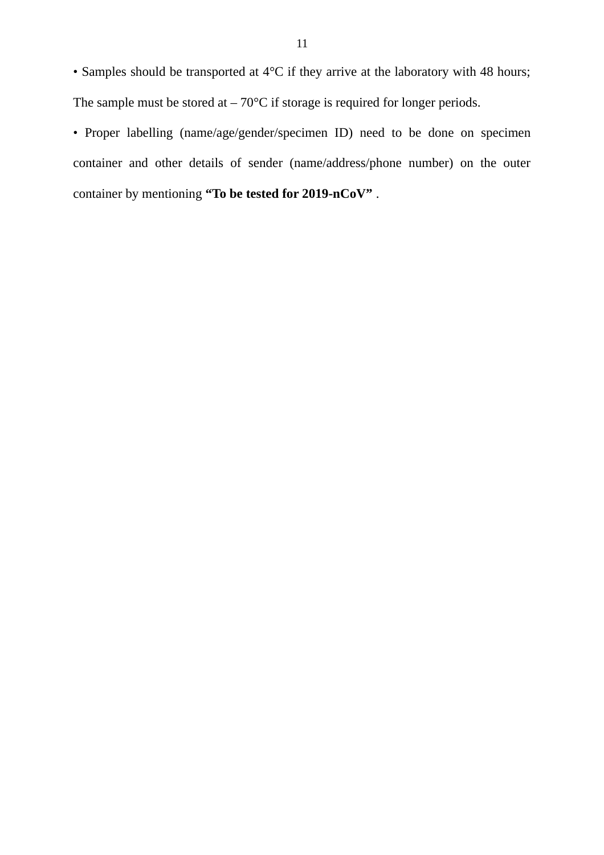• Samples should be transported at 4°C if they arrive at the laboratory with 48 hours; The sample must be stored at  $-70^{\circ}$ C if storage is required for longer periods.

• Proper labelling (name/age/gender/specimen ID) need to be done on specimen container and other details of sender (name/address/phone number) on the outer container by mentioning **"To be tested for 2019-nCoV"** .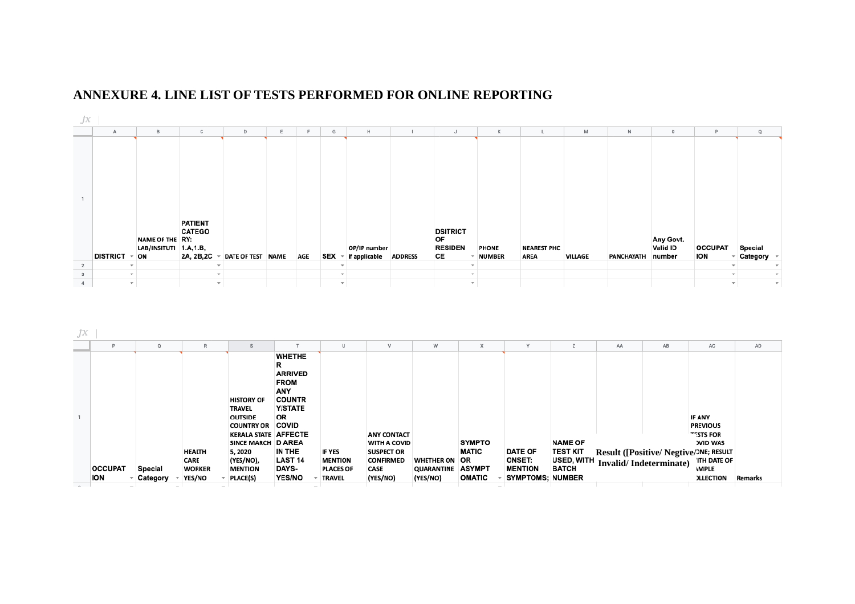



| JX |                              |                     |                                                         |                                                                                                                                                                                     |                                                                                                                                                                                  |                                                                      |                                                                                                        |                                                           |                                                      |                                                                              |                                                                 |                                                                            |    |                                                                                                     |         |
|----|------------------------------|---------------------|---------------------------------------------------------|-------------------------------------------------------------------------------------------------------------------------------------------------------------------------------------|----------------------------------------------------------------------------------------------------------------------------------------------------------------------------------|----------------------------------------------------------------------|--------------------------------------------------------------------------------------------------------|-----------------------------------------------------------|------------------------------------------------------|------------------------------------------------------------------------------|-----------------------------------------------------------------|----------------------------------------------------------------------------|----|-----------------------------------------------------------------------------------------------------|---------|
|    | Þ                            |                     |                                                         |                                                                                                                                                                                     |                                                                                                                                                                                  | U                                                                    | v                                                                                                      | w                                                         |                                                      |                                                                              |                                                                 | AA                                                                         | AB | AC                                                                                                  | AD      |
|    | <b>OCCUPAT</b><br><b>ION</b> | Special<br>Category | <b>HEALTH</b><br><b>CARE</b><br><b>WORKER</b><br>YES/NO | <b>HISTORY OF</b><br><b>TRAVEL</b><br><b>OUTSIDE</b><br><b>COUNTRY OR</b><br><b>KERALA STATE AFFECTE</b><br>SINCE MARCH D AREA<br>5,2020<br>(YES/NO),<br><b>MENTION</b><br>PLACE(S) | <b>WHETHE</b><br>R<br><b>ARRIVED</b><br><b>FROM</b><br>ANY<br><b>COUNTR</b><br><b>Y/STATE</b><br>OR<br><b>COVID</b><br>IN THE<br><b>LAST 14</b><br><b>DAYS-</b><br><b>YES/NO</b> | <b>IF YES</b><br><b>MENTION</b><br><b>PLACES OF</b><br><b>TRAVEL</b> | <b>ANY CONTACT</b><br><b>WITH A COVID</b><br><b>SUSPECT OR</b><br><b>CONFIRMED</b><br>CASE<br>(YES/NO) | <b>WHETHER ON</b><br><b>QUARANTINE ASYMPT</b><br>(YES/NO) | <b>SYMPTO</b><br><b>MATIC</b><br>OR<br><b>OMATIC</b> | <b>DATE OF</b><br><b>ONSET:</b><br><b>MENTION</b><br><b>SYMPTOMS; NUMBER</b> | <b>NAME OF</b><br><b>TEST KIT</b><br>USED, WITH<br><b>BATCH</b> | Result ([Positive/Negtive/NE; RESULT<br>Invalid/Indeterminate) ITH DATE OF |    | <b>IF ANY</b><br><b>PREVIOUS</b><br>TESTS FOR<br><b>)VID WAS</b><br><b>MPLE</b><br><b>ILLECTION</b> | Remarks |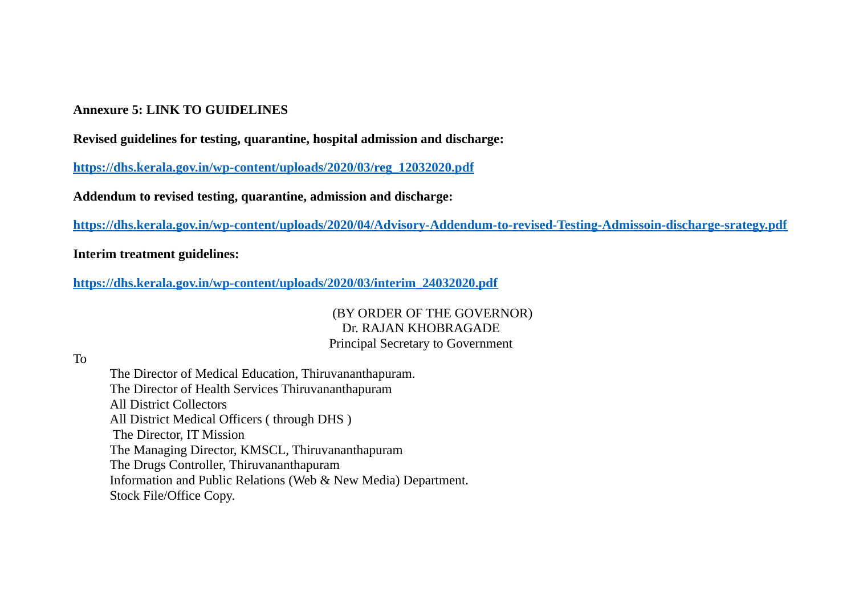### **Annexure 5: LINK TO GUIDELINES**

**Revised guidelines for testing, quarantine, hospital admission and discharge:**

**[https://dhs.kerala.gov.in/wp-content/uploads/2020/03/reg\\_12032020.pdf](https://dhs.kerala.gov.in/wp-content/uploads/2020/03/reg_12032020.pdf)**

**Addendum to revised testing, quarantine, admission and discharge:**

**<https://dhs.kerala.gov.in/wp-content/uploads/2020/04/Advisory-Addendum-to-revised-Testing-Admissoin-discharge-srategy.pdf>**

**Interim treatment guidelines:**

**[https://dhs.kerala.gov.in/wp-content/uploads/2020/03/interim\\_24032020.pdf](https://dhs.kerala.gov.in/wp-content/uploads/2020/03/interim_24032020.pdf)**

(BY ORDER OF THE GOVERNOR) Dr. RAJAN KHOBRAGADE Principal Secretary to Government

To

The Director of Medical Education, Thiruvananthapuram. The Director of Health Services Thiruvananthapuram All District Collectors All District Medical Officers ( through DHS ) The Director, IT Mission The Managing Director, KMSCL, Thiruvananthapuram The Drugs Controller, Thiruvananthapuram Information and Public Relations (Web & New Media) Department. Stock File/Office Copy.